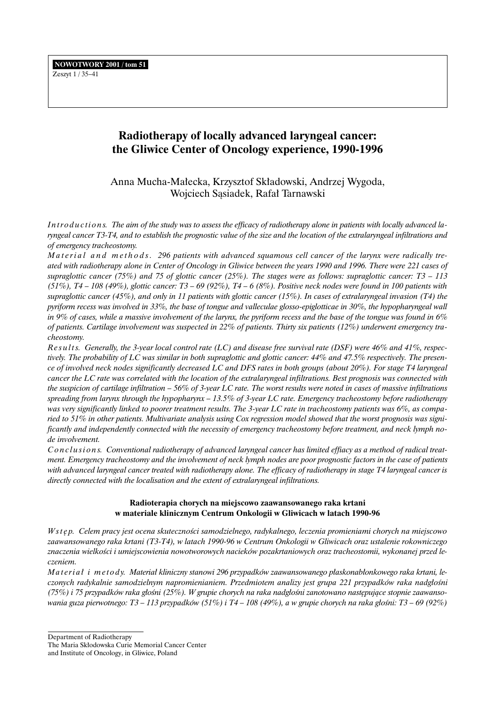Zeszyt 1 / 35–41

# **Radiotherapy of locally advanced laryngeal cancer: the Gliwice Center of Oncology experience, 1990-1996**

Anna Mucha-Ma∏ecka, Krzysztof Sk∏adowski, Andrzej Wygoda, Wojciech Sąsiadek, Rafał Tarnawski

Introductions. The aim of the study was to assess the efficacy of radiotherapy alone in patients with locally advanced la*ryngeal cancer T3-T4, and to establish the prognostic value of the size and the location of the extralaryngeal infiltrations and of emergency tracheostomy.*

*Material and methods. 296 patients with advanced squamous cell cancer of the larynx were radically treated with radiotherapy alone in Center of Oncology in Gliwice between the years 1990 and 1996. There were 221 cases of supraglottic cancer (75%) and 75 of glottic cancer (25%). The stages were as follows: supraglottic cancer: T3 – 113 (51%), T4 – 108 (49%), glottic cancer: T3 – 69 (92%), T4 – 6 (8%). Positive neck nodes were found in 100 patients with supraglottic cancer (45%), and only in 11 patients with glottic cancer (15%). In cases of extralaryngeal invasion (T4) the pyriform recess was involved in 33%, the base of tongue and valleculae glosso-epiglotticae in 30%, the hypopharyngeal wall in 9% of cases, while a massive involvement of the larynx, the pyriform recess and the base of the tongue was found in 6% of patients. Cartilage involvement was suspected in 22% of patients. Thirty six patients (12%) underwent emergency tracheostomy.*

*R e s u l t s. Generally, the 3-year local control rate (LC) and disease free survival rate (DSF) were 46% and 41%, respectively. The probability of LC was similar in both supraglottic and glottic cancer: 44% and 47.5% respectively. The presence of involved neck nodes significantly decreased LC and DFS rates in both groups (about 20%). For stage T4 laryngeal cancer the LC rate was correlated with the location of the extralaryngeal infiltrations. Best prognosis was connected with the suspicion of cartilage infiltration – 56% of 3-year LC rate. The worst results were noted in cases of massive infiltrations spreading from larynx through the hypopharynx – 13.5% of 3-year LC rate. Emergency tracheostomy before radiotherapy was very significantly linked to poorer treatment results. The 3-year LC rate in tracheostomy patients was 6%, as comparied to 51% in other patients. Multivariate analysis using Cox regression model showed that the worst prognosis was significantly and independently connected with the necessity of emergency tracheostomy before treatment, and neck lymph node involvement.*

*Conclusion s. Conventional radiotherapy of advanced laryngeal cancer has limited effiacy as a method of radical treatment. Emergency tracheostomy and the involvement of neck lymph nodes are poor prognostic factors in the case of patients with advanced laryngeal cancer treated with radiotherapy alone. The efficacy of radiotherapy in stage T4 laryngeal cancer is directly connected with the localisation and the extent of extralaryngeal infiltrations.*

# **Radioterapia chorych na miejscowo zaawansowanego raka krtani w materiale klinicznym Centrum Onkologii w Gliwicach w latach 1990-96**

*W stęp.* Celem pracy jest ocena skuteczności samodzielnego, radykalnego, leczenia promieniami chorych na miejscowo *zaawansowanego raka krtani (T3-T4), w latach 1990-96 w Centrum Onkologii w Gliwicach oraz ustalenie rokowniczego* znaczenia wielkości i umiejscowienia nowotworowych nacieków pozakrtaniowych oraz tracheostomii, wykonanej przed le*czeniem.*

*Materiał i metody. Materiał kliniczny stanowi 296 przypadków zaawansowanego płaskonabłonkowego raka krtani, leczonych radykalnie samodzielnym napromienianiem. Przedmiotem analizy jest grupa 221 przypadków raka nadg∏oÊni* (75%) i 75 przypadków raka głośni (25%). W grupie chorych na raka nadgłośni zanotowano następujące stopnie zaawanso*wania guza pierwotnego: T3 – 113 przypadków (51%) i T4 – 108 (49%), a w grupie chorych na raka głośni: T3 – 69 (92%)* 

Department of Radiotherapy

The Maria Skłodowska Curie Memorial Cancer Center

and Institute of Oncology, in Gliwice, Poland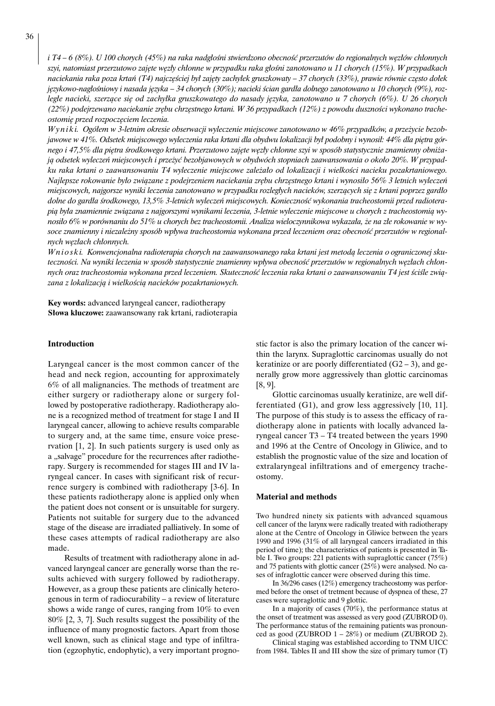*i T4 – 6 (8%). U 100 chorych (45%) na raka nadgłośni stwierdzono obecność przerzutów do regionalnych węzłów chłonnych szyi, natomiast przerzutowo zaj´te w´z∏y ch∏onne w przypadku raka g∏oÊni zanotowano u 11 chorych (15%). W przypadkach naciekania raka poza krtań (T4) najczęściej był zajęty zachyłek gruszkowaty – 37 chorych (33%), prawie równie często dołek* językowo-nagłośniowy i nasada języka – 34 chorych (30%); nacieki ścian gardła dolnego zanotowano u 10 chorych (9%), roz*ległe nacieki, szerzące się od zachyłka gruszkowatego do nasady języka, zanotowano u 7 chorych (6%). U 26 chorych* (22%) podejrzewano naciekanie zrębu chrzęstnego krtani. W 36 przypadkach (12%) z powodu duszności wykonano trache*ostomi´ przed rozpocz´ciem leczenia.*

*W y n i k i. Ogó∏em w 3-letnim okresie obserwacji wyleczenie miejscowe zanotowano w 46% przypadków, a prze˝ycie bezob*jawowe w 41%. Odsetek miejscowego wyleczenia raka krtani dla obydwu lokalizacji był podobny i wynosił: 44% dla piętra gór*nego i 47,5% dla piętra środkowego krtani. Przerzutowo zajęte węzły chłonne szyi w sposób statystycznie znamienny obniżajà odsetek wyleczeƒ miejscowych i prze˝yç bezobjawowych w obydwóch stopniach zaawansowania o oko∏o 20%. W przypadku raka krtani o zaawansowaniu T4 wyleczenie miejscowe zale˝a∏o od lokalizacji i wielkoÊci nacieku pozakrtaniowego. Najlepsze rokowanie było związane z podejrzeniem naciekania zrębu chrzęstnego krtani i wynosiło 56% 3 letnich wyleczeń miejscowych, najgorsze wyniki leczenia zanotowano w przypadku rozległych nacieków, szerzących się z krtani poprzez gardło* dolne do gardła środkowego, 13,5% 3-letnich wyleczeń miejscowych. Konieczność wykonania tracheostomii przed radiotera*pià by∏a znamiennie zwiàzana z najgorszymi wynikami leczenia, 3-letnie wyleczenie miejscowe u chorych z tracheostomià wynosi∏o 6% w porównaniu do 51% u chorych bez tracheostomii. Analiza wieloczynnikowa wykaza∏a, ˝e na z∏e rokowanie w wysoce znamienny i niezale˝ny sposób wp∏ywa tracheostomia wykonana przed leczeniem oraz obecnoÊç przerzutów w regionalnych w´z∏ach ch∏onnych.*

*W n i o s k i. Konwencjonalna radioterapia chorych na zaawansowanego raka krtani jest metodà leczenia o ograniczonej sku*teczności. Na wyniki leczenia w sposób statystycznie znamienny wpływa obecność przerzutów w regionalnych węzłach chłonnych oraz tracheostomia wykonana przed leczeniem. Skuteczność leczenia raka krtani o zaawansowaniu T4 jest ściśle związana z lokalizacją i wielkością nacieków pozakrtaniowych.

**Key words:** advanced laryngeal cancer, radiotherapy **S∏owa kluczowe:** zaawansowany rak krtani, radioterapia

## **Introduction**

Laryngeal cancer is the most common cancer of the head and neck region, accounting for approximately 6% of all malignancies. The methods of treatment are either surgery or radiotherapy alone or surgery followed by postoperative radiotherapy. Radiotherapy alone is a recognized method of treatment for stage I and II laryngeal cancer, allowing to achieve results comparable to surgery and, at the same time, ensure voice preservation [1, 2]. In such patients surgery is used only as a "salvage" procedure for the recurrences after radiotherapy. Surgery is recommended for stages III and IV laryngeal cancer. In cases with significant risk of recurrence surgery is combined with radiotherapy [3-6]. In these patients radiotherapy alone is applied only when the patient does not consent or is unsuitable for surgery. Patients not suitable for surgery due to the advanced stage of the disease are irradiated palliatively. In some of these cases attempts of radical radiotherapy are also made.

Results of treatment with radiotherapy alone in advanced laryngeal cancer are generally worse than the results achieved with surgery followed by radiotherapy. However, as a group these patients are clinically heterogenous in term of radiocurability – a review of literature shows a wide range of cures, ranging from 10% to even 80% [2, 3, 7]. Such results suggest the possibility of the influence of many prognostic factors. Apart from those well known, such as clinical stage and type of infiltration (egzophytic, endophytic), a very important prognostic factor is also the primary location of the cancer within the larynx. Supraglottic carcinomas usually do not keratinize or are poorly differentiated  $(G2 - 3)$ , and generally grow more aggressively than glottic carcinomas [8, 9].

Glottic carcinomas usually keratinize, are well differentiated (G1), and grow less aggressively [10, 11]. The purpose of this study is to assess the efficacy of radiotherapy alone in patients with locally advanced laryngeal cancer T3 – T4 treated between the years 1990 and 1996 at the Centre of Oncology in Gliwice, and to establish the prognostic value of the size and location of extralaryngeal infiltrations and of emergency tracheostomy.

### **Material and methods**

Two hundred ninety six patients with advanced squamous cell cancer of the larynx were radically treated with radiotherapy alone at the Centre of Oncology in Gliwice between the years 1990 and 1996 (31% of all laryngeal cancers irradiated in this period of time); the characteristics of patients is presented in Table I. Two groups: 221 patients with supraglottic cancer (75%) and 75 patients with glottic cancer (25%) were analysed. No cases of infraglottic cancer were observed during this time.

In 36/296 cases (12%) emergency tracheostomy was performed before the onset of tretment because of dyspnea of these, 27 cases were supraglottic and 9 glottic.

In a majority of cases (70%), the performance status at the onset of treatment was assessed as very good (ZUBROD 0). The performance status of the remaining patients was pronounced as good (ZUBROD  $1 - 28\%$ ) or medium (ZUBROD 2).

Clinical staging was established according to TNM UICC from 1984. Tables II and III show the size of primary tumor (T)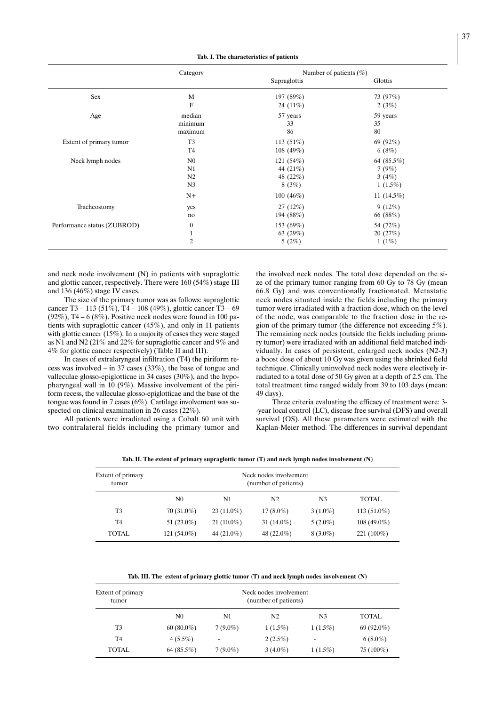**Tab. I. The characteristics of patients**

|                             | Category         | Number of patients $(\% )$ |              |
|-----------------------------|------------------|----------------------------|--------------|
|                             |                  | Supraglottis               | Glottis      |
| Sex                         | M                | 197 (89%)                  | 73 (97%)     |
|                             | F                | 24 $(11\%)$                | 2(3%)        |
| Age                         | median           | 57 years                   | 59 years     |
|                             | minimum          | 33                         | 35           |
|                             | maximum          | 86                         | 80           |
| Extent of primary tumor     | T <sub>3</sub>   | 113 $(51%)$                | 69 $(92%)$   |
|                             | T <sub>4</sub>   | 108 $(49%)$                | 6(8%)        |
| Neck lymph nodes            | N <sub>0</sub>   | 121 $(54%)$                | 64 (85.5%)   |
|                             | N1               | 44 (21%)                   | 7(9%)        |
|                             | N <sub>2</sub>   | 48 (22%)                   | 3 $(4%)$     |
|                             | N <sub>3</sub>   | 8(3%)                      | $1(1.5\%)$   |
|                             | $N+$             | 100 $(46\%)$               | 11 $(14.5%)$ |
| Tracheostomy                | yes              | 27(12%)                    | 9(12%)       |
|                             | no               | 194 (88%)                  | 66 (88%)     |
| Performance status (ZUBROD) | $\boldsymbol{0}$ | 153 (69%)                  | 54 (72%)     |
|                             | 1                | 63 (29%)                   | 20(27%)      |
|                             | $\overline{2}$   | 5(2%)                      | 1(1%)        |

and neck node involvement (N) in patients with supraglottic and glottic cancer, respectively. There were  $160 (54%)$  stage III and 136 (46%) stage IV cases.

The size of the primary tumor was as follows: supraglottic cancer T3 – 113 (51%), T4 – 108 (49%), glottic cancer T3 – 69  $(92\%)$ , T4 – 6 (8%). Positive neck nodes were found in 100 patients with supraglottic cancer (45%), and only in 11 patients with glottic cancer (15%). In a majority of cases they were staged as N1 and N2 (21% and 22% for supraglottic cancer and 9% and 4% for glottic cancer respectively) (Table II and III).

In cases of extralaryngeal infiltration (T4) the piriform recess was involved – in 37 cases (33%), the base of tongue and valleculae glosso-epiglotticae in 34 cases (30%), and the hypopharyngeal wall in 10 (9%). Massive involvement of the piriform recess, the valleculae glosso-epiglotticae and the base of the tongue was found in 7 cases (6%). Cartilage involvement was suspected on clinical examination in 26 cases (22%).

All patients were irradiated using a Cobalt 60 unit with two contralateral fields including the primary tumor and the involved neck nodes. The total dose depended on the size of the primary tumor ranging from 60 Gy to 78 Gy (mean 66.8 Gy) and was conventionally fractionated. Metastatic neck nodes situated inside the fields including the primary tumor were irradiated with a fraction dose, which on the level of the node, was comparable to the fraction dose in the region of the primary tumor (the difference not exceeding 5%). The remaining neck nodes (outside the fields including primary tumor) were irradiated with an additional field matched individually. In cases of persistent, enlarged neck nodes (N2-3) a boost dose of about 10 Gy was given using the shrinked field technique. Clinically uninvolved neck nodes were electively irradiated to a total dose of 50 Gy given at a depth of 2.5 cm. The total treatment time ranged widely from 39 to 103 days (mean: 49 days).

Three criteria evaluating the efficacy of treatment were: 3- -year local control (LC), disease free survival (DFS) and overall survival (OS). All these parameters were estimated with the Kaplan-Meier method. The differences in survival dependant

**Tab. II. The extent of primary supraglottic tumor (T) and neck lymph nodes involvement (N)**

| Extent of primary<br>tumor | Neck nodes involvement<br>(number of patients) |               |                |            |               |  |  |
|----------------------------|------------------------------------------------|---------------|----------------|------------|---------------|--|--|
|                            | $_{\rm N0}$                                    | N1            | N <sub>2</sub> | N3         | TOTAL         |  |  |
| T <sub>3</sub>             | $70(31.0\%)$                                   | $23(11.0\%)$  | $17(8.0\%)$    | $3(1.0\%)$ | $113(51.0\%)$ |  |  |
| T4                         | 51 $(23.0\%)$                                  | $21(10.0\%)$  | 31 $(14.0\%)$  | $5(2.0\%)$ | $108(49.0\%)$ |  |  |
| TOTAL                      | 121 $(54.0\%)$                                 | 44 $(21.0\%)$ | 48 $(22.0\%)$  | $8(3.0\%)$ | $221(100\%)$  |  |  |

**Tab. III. The extent of primary glottic tumor (T) and neck lymph nodes involvement (N)**

| Extent of primary<br>tumor | Neck nodes involvement<br>(number of patients) |            |                |            |              |  |
|----------------------------|------------------------------------------------|------------|----------------|------------|--------------|--|
|                            | N0                                             | N1         | N <sub>2</sub> | N3         | <b>TOTAL</b> |  |
| T <sub>3</sub>             | $60(80.0\%)$                                   | $7(9.0\%)$ | $1(1.5\%)$     | $1(1.5\%)$ | $69(92.0\%)$ |  |
| T <sub>4</sub>             | $4(5.5\%)$                                     | ۰          | $2(2.5\%)$     |            | $6(8.0\%)$   |  |
| TOTAL                      | 64(85.5%)                                      | $7(9.0\%)$ | $3(4.0\%)$     | $1(1.5\%)$ | 75 $(100\%)$ |  |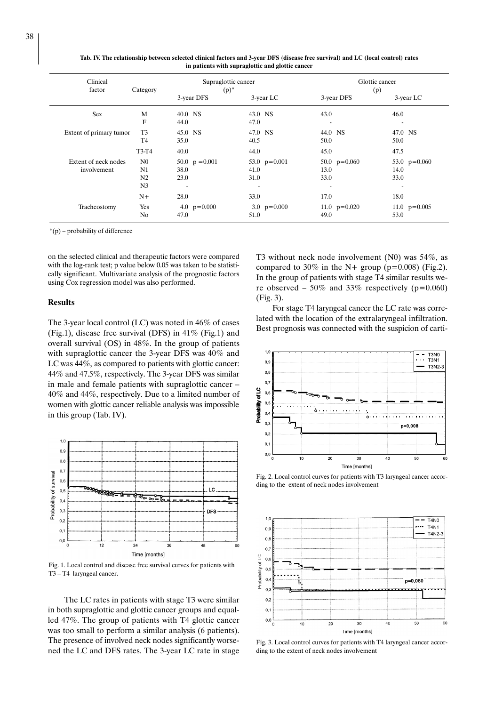| Clinical<br>factor      | Category       | Supraglottic cancer<br>$(p)^*$ |                | Glottic cancer<br>(p) |                |  |
|-------------------------|----------------|--------------------------------|----------------|-----------------------|----------------|--|
|                         |                | 3-year DFS                     | 3-year LC      | 3-year DFS            | 3-year LC      |  |
| <b>Sex</b>              | M              | 40.0 NS                        | 43.0 NS        | 43.0                  | 46.0           |  |
|                         | $\mathbf{F}$   | 44.0                           | 47.0           | ٠                     | ٠              |  |
| Extent of primary tumor | T <sub>3</sub> | 45.0 NS                        | 47.0 NS        | 44.0 NS               | 47.0 NS        |  |
|                         | T <sub>4</sub> | 35.0                           | 40.5           | 50.0                  | 50.0           |  |
|                         | T3-T4          | 40.0                           | 44.0           | 45.0                  | 47.5           |  |
| Extent of neck nodes    | N <sub>0</sub> | 50.0 $p = 0.001$               | 53.0 $p=0.001$ | 50.0 $p=0.060$        | 53.0 $p=0.060$ |  |
| involvement             | N1             | 38.0                           | 41.0           | 13.0                  | 14.0           |  |
|                         | N <sub>2</sub> | 23.0                           | 31.0           | 33.0                  | 33.0           |  |
|                         | N <sub>3</sub> | ٠                              |                |                       |                |  |
|                         | $N+$           | 28.0                           | 33.0           | 17.0                  | 18.0           |  |
| Tracheostomy            | Yes            | 4.0 $p=0.000$                  | 3.0 $p=0.000$  | 11.0 $p=0.020$        | 11.0 $p=0.005$ |  |
|                         | N <sub>0</sub> | 47.0                           | 51.0           | 49.0                  | 53.0           |  |

**Tab. IV. The relationship between selected clinical factors and 3-year DFS (disease free survival) and LC (local control) rates in patients with supraglottic and glottic cancer**

\*(p) – probability of difference

on the selected clinical and therapeutic factors were compared with the log-rank test; p value below 0.05 was taken to be statistically significant. Multivariate analysis of the prognostic factors using Cox regression model was also performed.

#### **Results**

The 3-year local control (LC) was noted in 46% of cases (Fig.1), disease free survival (DFS) in 41% (Fig.1) and overall survival (OS) in 48%. In the group of patients with supraglottic cancer the 3-year DFS was 40% and LC was 44%, as compared to patients with glottic cancer: 44% and 47.5%, respectively. The 3-year DFS was similar in male and female patients with supraglottic cancer – 40% and 44%, respectively. Due to a limited number of women with glottic cancer reliable analysis was impossible in this group (Tab. IV).



Fig. 1. Local control and disease free survival curves for patients with T3 – T4 laryngeal cancer.

The LC rates in patients with stage T3 were similar in both supraglottic and glottic cancer groups and equalled 47%. The group of patients with T4 glottic cancer was too small to perform a similar analysis (6 patients). The presence of involved neck nodes significantly worsened the LC and DFS rates. The 3-year LC rate in stage T3 without neck node involvement (N0) was 54%, as compared to 30% in the N+ group ( $p=0.008$ ) (Fig.2). In the group of patients with stage T4 similar results were observed – 50% and 33% respectively ( $p=0.060$ ) (Fig. 3).

For stage T4 laryngeal cancer the LC rate was correlated with the location of the extralaryngeal infiltration. Best prognosis was connected with the suspicion of carti-



Fig. 2. Local control curves for patients with T3 laryngeal cancer according to the extent of neck nodes involvement



Fig. 3. Local control curves for patients with T4 laryngeal cancer according to the extent of neck nodes involvement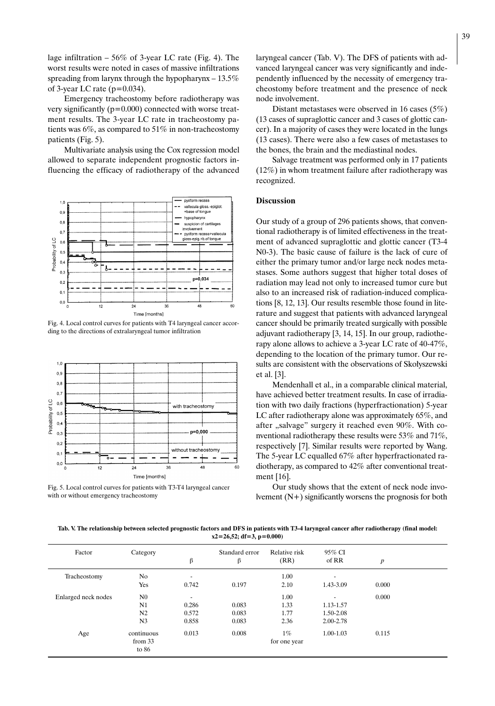lage infiltration  $-56\%$  of 3-year LC rate (Fig. 4). The worst results were noted in cases of massive infiltrations spreading from larynx through the hypopharynx – 13.5% of 3-year LC rate ( $p=0.034$ ).

Emergency tracheostomy before radiotherapy was very significantly  $(p=0.000)$  connected with worse treatment results. The 3-year LC rate in tracheostomy patients was 6%, as compared to 51% in non-tracheostomy patients (Fig. 5).

Multivariate analysis using the Cox regression model allowed to separate independent prognostic factors influencing the efficacy of radiotherapy of the advanced



Fig. 4. Local control curves for patients with T4 laryngeal cancer according to the directions of extralaryngeal tumor infiltration



Fig. 5. Local control curves for patients with T3-T4 laryngeal cancer with or without emergency tracheostomy

laryngeal cancer (Tab. V). The DFS of patients with advanced laryngeal cancer was very significantly and independently influenced by the necessity of emergency tracheostomy before treatment and the presence of neck node involvement.

Distant metastases were observed in 16 cases (5%) (13 cases of supraglottic cancer and 3 cases of glottic cancer). In a majority of cases they were located in the lungs (13 cases). There were also a few cases of metastases to the bones, the brain and the mediastinal nodes.

Salvage treatment was performed only in 17 patients (12%) in whom treatment failure after radiotherapy was recognized.

# **Discussion**

Our study of a group of 296 patients shows, that conventional radiotherapy is of limited effectiveness in the treatment of advanced supraglottic and glottic cancer (T3-4 N0-3). The basic cause of failure is the lack of cure of either the primary tumor and/or large neck nodes metastases. Some authors suggest that higher total doses of radiation may lead not only to increased tumor cure but also to an increased risk of radiation-induced complications [8, 12, 13]. Our results resemble those found in literature and suggest that patients with advanced laryngeal cancer should be primarily treated surgically with possible adjuvant radiotherapy [3, 14, 15]. In our group, radiotherapy alone allows to achieve a 3-year LC rate of 40-47%, depending to the location of the primary tumor. Our results are consistent with the observations of Skołyszewski et al. [3].

Mendenhall et al., in a comparable clinical material, have achieved better treatment results. In case of irradiation with two daily fractions (hyperfractionation) 5-year LC after radiotherapy alone was approximately 65%, and after "salvage" surgery it reached even 90%. With conventional radiotherapy these results were 53% and 71%, respectively [7]. Similar results were reported by Wang. The 5-year LC equalled 67% after hyperfractionated radiotherapy, as compared to 42% after conventional treatment [16].

Our study shows that the extent of neck node involvement (N+) significantly worsens the prognosis for both

**Tab. V. The relationship between selected prognostic factors and DFS in patients with T3-4 laryngeal cancer after radiotherapy (final model: x2=26,52; df=3, p=0.000)**

| Factor              | Category         | β     | Standard error<br>β | Relative risk<br>(RR) | 95% CI<br>of RR | $\boldsymbol{p}$ |  |
|---------------------|------------------|-------|---------------------|-----------------------|-----------------|------------------|--|
| Tracheostomy        | No               |       |                     | 1.00                  |                 |                  |  |
|                     | Yes              | 0.742 | 0.197               | 2.10                  | 1.43-3.09       | 0.000            |  |
| Enlarged neck nodes | N <sub>0</sub>   | ۰     |                     | 1.00                  |                 | 0.000            |  |
|                     | N1               | 0.286 | 0.083               | 1.33                  | 1.13-1.57       |                  |  |
|                     | N <sub>2</sub>   | 0.572 | 0.083               | 1.77                  | 1.50-2.08       |                  |  |
|                     | N <sub>3</sub>   | 0.858 | 0.083               | 2.36                  | 2.00-2.78       |                  |  |
| Age                 | continuous       | 0.013 | 0.008               | $1\%$                 | 1.00-1.03       | 0.115            |  |
|                     | from 33<br>to 86 |       |                     | for one year          |                 |                  |  |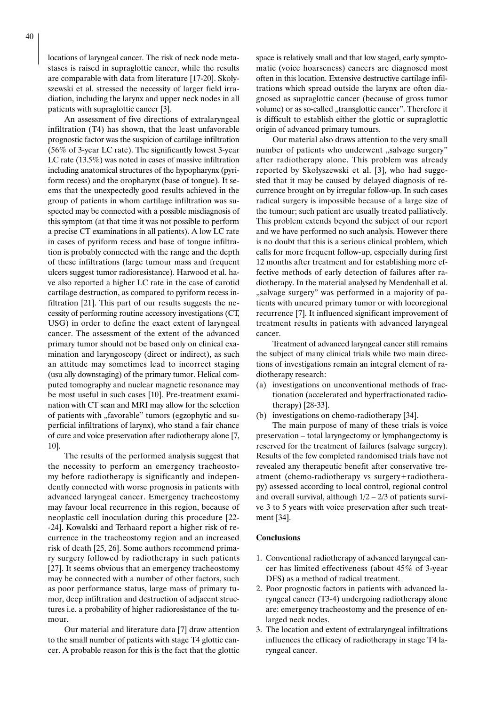locations of laryngeal cancer. The risk of neck node metastases is raised in supraglottic cancer, while the results are comparable with data from literature [17-20]. Skołyszewski et al. stressed the necessity of larger field irradiation, including the larynx and upper neck nodes in all patients with supraglottic cancer [3].

An assessment of five directions of extralaryngeal infiltration (T4) has shown, that the least unfavorable prognostic factor was the suspicion of cartilage infiltration (56% of 3-year LC rate). The significantly lowest 3-year LC rate (13.5%) was noted in cases of massive infiltration including anatomical structures of the hypopharynx (pyriform recess) and the oropharynx (base of tongue). It seems that the unexpectedly good results achieved in the group of patients in whom cartilage infiltration was suspected may be connected with a possible misdiagnosis of this symptom (at that time it was not possible to perform a precise CT examinations in all patients). A low LC rate in cases of pyriform recess and base of tongue infiltration is probably connected with the range and the depth of these infiltrations (large tumour mass and frequent ulcers suggest tumor radioresistance). Harwood et al. have also reported a higher LC rate in the case of carotid cartilage destruction, as compared to pyriform recess infiltration [21]. This part of our results suggests the necessity of performing routine accessory investigations (CT, USG) in order to define the exact extent of laryngeal cancer. The assessment of the extent of the advanced primary tumor should not be based only on clinical examination and laryngoscopy (direct or indirect), as such an attitude may sometimes lead to incorrect staging (usu ally downstaging) of the primary tumor. Helical computed tomography and nuclear magnetic resonance may be most useful in such cases [10]. Pre-treatment examination with CT scan and MRI may allow for the selection of patients with "favorable" tumors (egzophytic and superficial infiltrations of larynx), who stand a fair chance of cure and voice preservation after radiotherapy alone [7, 10].

The results of the performed analysis suggest that the necessity to perform an emergency tracheostomy before radiotherapy is significantly and independently connected with worse prognosis in patients with advanced laryngeal cancer. Emergency tracheostomy may favour local recurrence in this region, because of neoplastic cell inoculation during this procedure [22- -24]. Kowalski and Terhaard report a higher risk of recurrence in the tracheostomy region and an increased risk of death [25, 26]. Some authors recommend primary surgery followed by radiotherapy in such patients [27]. It seems obvious that an emergency tracheostomy may be connected with a number of other factors, such as poor performance status, large mass of primary tumor, deep infiltration and destruction of adjacent structures i.e. a probability of higher radioresistance of the tumour.

Our material and literature data [7] draw attention to the small number of patients with stage T4 glottic cancer. A probable reason for this is the fact that the glottic space is relatively small and that low staged, early symptomatic (voice hoarseness) cancers are diagnosed most often in this location. Extensive destructive cartilage infiltrations which spread outside the larynx are often diagnosed as supraglottic cancer (because of gross tumor volume) or as so-called "transglottic cancer". Therefore it is difficult to establish either the glottic or supraglottic origin of advanced primary tumours.

Our material also draws attention to the very small number of patients who underwent "salvage surgery" after radiotherapy alone. This problem was already reported by Skołyszewski et al. [3], who had suggested that it may be caused by delayed diagnosis of recurrence brought on by irregular follow-up. In such cases radical surgery is impossible because of a large size of the tumour; such patient are usually treated palliatively. This problem extends beyond the subject of our report and we have performed no such analysis. However there is no doubt that this is a serious clinical problem, which calls for more frequent follow-up, especially during first 12 months after treatment and for establishing more effective methods of early detection of failures after radiotherapy. In the material analysed by Mendenhall et al. "salvage surgery" was performed in a majority of patients with uncured primary tumor or with locoregional recurrence [7]. It influenced significant improvement of treatment results in patients with advanced laryngeal cancer.

Treatment of advanced laryngeal cancer still remains the subject of many clinical trials while two main directions of investigations remain an integral element of radiotherapy research:

- (a) investigations on unconventional methods of fractionation (accelerated and hyperfractionated radiotherapy) [28-33].
- (b) investigations on chemo-radiotherapy [34].

The main purpose of many of these trials is voice preservation – total laryngectomy or lymphangectomy is reserved for the treatment of failures (salvage surgery). Results of the few completed randomised trials have not revealed any therapeutic benefit after conservative treatment (chemo-radiotherapy vs surgery+radiotherapy) assessed according to local control, regional control and overall survival, although  $1/2 - 2/3$  of patients survive 3 to 5 years with voice preservation after such treatment [34].

#### **Conclusions**

- 1. Conventional radiotherapy of advanced laryngeal cancer has limited effectiveness (about 45% of 3-year DFS) as a method of radical treatment.
- 2. Poor prognostic factors in patients with advanced laryngeal cancer (T3-4) undergoing radiotherapy alone are: emergency tracheostomy and the presence of enlarged neck nodes.
- 3. The location and extent of extralaryngeal infiltrations influences the efficacy of radiotherapy in stage T4 laryngeal cancer.